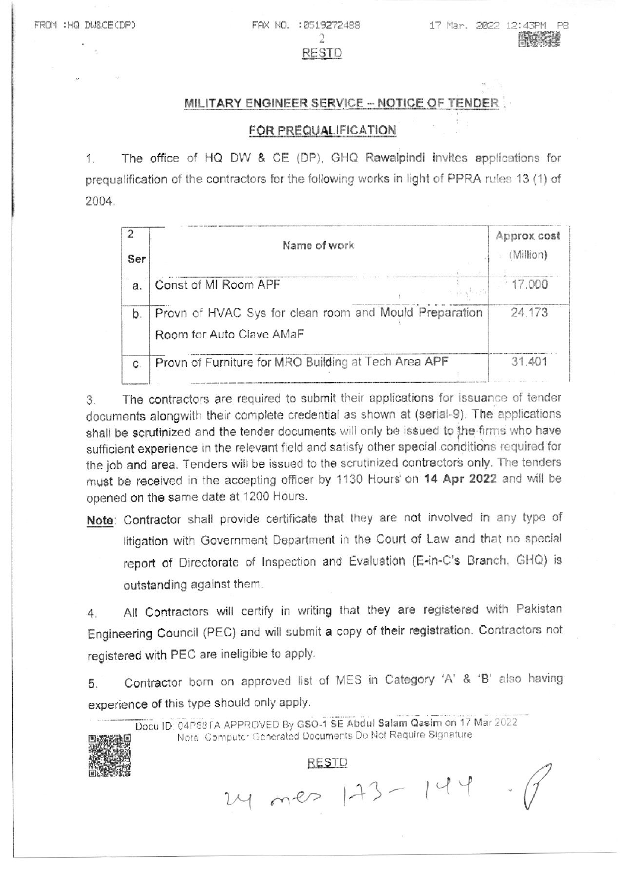FAX ND. : 0519272488  $\overline{2}$ RESTD

# MILITARY ENGINEER SERVICE - NOTICE OF TENDER

### FOR PREQUALIFICATION

The office of HQ DW & CE (DP), GHQ Rawalpindi invites applications for  $1$ . prequalification of the contractors for the following works in light of PPRA rules 13 (1) of 2004.

| Ser | Name of work                                                                       | Approx cost<br>(Million) |
|-----|------------------------------------------------------------------------------------|--------------------------|
| a.  | Const of MI Room APF                                                               | 17.000                   |
| b.  | Provn of HVAC Sys for clean room and Mould Preparation<br>Room for Auto Clave AMaF | 24.173                   |
| C.  | Provn of Furniture for MRO Building at Tech Area APF                               | 31.401                   |

The contractors are required to submit their applications for issuance of tender 3. documents alongwith their complete credential as shown at (serial-9). The applications shall be scrutinized and the tender documents will only be issued to the firms who have sufficient experience in the relevant field and satisfy other special conditions required for the job and area. Tenders will be issued to the scrutinized contractors only. The tenders must be received in the accepting officer by 1130 Hours on 14 Apr 2022 and will be opened on the same date at 1200 Hours.

Note: Contractor shall provide certificate that they are not involved in any type of litigation with Government Department in the Court of Law and that no special report of Directorate of Inspection and Evaluation (E-in-C's Branch, GHQ) is outstanding against them.

All Contractors will certify in writing that they are registered with Pakistan 4. Engineering Council (PEC) and will submit a copy of their registration. Contractors not registered with PEC are ineligible to apply.

Contractor born on approved list of MES in Category 'A' & 'B' also having 5. experience of this type should only apply.

Docu ID: 04P88TA APPROVED By GSO-1 SE Abdul Salam Qasim on 17 Mar 2022 Note: Computer Generated Documents Do Not Require Signature

24 mes 173-144